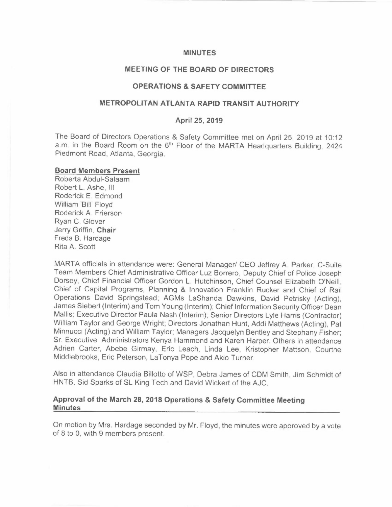#### **MINUTES**

### **MEETING OF THE BOARD OF DIRECTORS**

# **OPERATIONS & SAFETY COMMITTEE**

# **METROPOLITAN ATLANTA RAPID TRANSIT AUTHORITY**

### **April 25, 2019**

The Board of Directors Operations & Safety Committee met on April 25, 2019 at 10: 12 a.m. in the Board Room on the 6<sup>th</sup> Floor of the MARTA Headquarters Building, 2424 Piedmont Road, Atlanta, Georgia.

#### **Board Members Present**

Roberta Abdul-Salaam Robert L. Ashe, Ill Roderick E. Edmond William 'Bill' Floyd Roderick A. Frierson Ryan C. Glover Jerry Griffin, **Chair**  Freda B. Hardage Rita A. Scott

MARTA officials in attendance were: General Manager/ CEO Jeffrey A. Parker; C-Suite Team Members Chief Administrative Officer Luz Borrero, Deputy Chief of Police Joseph Dorsey, Chief Financial Officer Gordon L. Hutchinson, Chief Counsel Elizabeth O'Neill, Chief of Capital Programs, Planning & Innovation Franklin Rucker and Chief of Rail Operations David Springstead; AGMs LaShanda Dawkins, David Petrisky (Acting), James Siebert (Interim) and Tom Young (Interim); Chief Information Security Officer Dean Mallis; Executive Director Paula Nash (Interim); Senior Directors Lyle Harris (Contractor) William Taylor and George Wright; Directors Jonathan Hunt, Addi Matthews (Acting), Pat Minnucci (Acting) and William Taylor; Managers Jacquelyn Bentley and Stephany Fisher; Sr. Executive Administrators Kenya Hammond and Karen Harper. Others in attendance Adrien Carter, Abebe Girmay, Eric Leach, Linda Lee, Kristopher Mattson, Courtne Middlebrooks, Eric Peterson, LaTonya Pope and Akio Turner.

Also in attendance Claudia Billotto of WSP, Debra James of CDM Smith, Jim Schmidt of HNTB, Sid Sparks of SL King Tech and David Wickert of the AJC.

### **Approval of the March 28, 2018 Operations & Safety Committee Meeting Minutes**

On motion by Mrs. Hardage seconded by Mr. Floyd, the minutes were approved by a vote of 8 to 0, with 9 members present.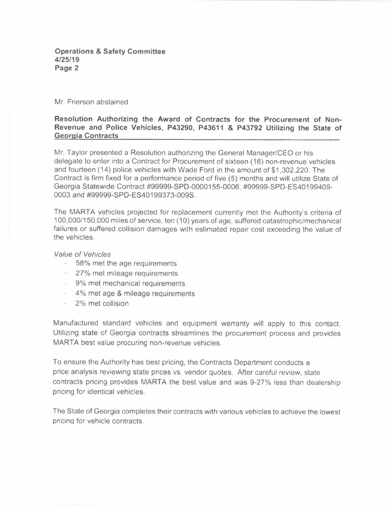Mr. Frierson abstained.

### **Resolution Authorizing the Award of Contracts for the Procurement of Non-Revenue and Police Vehicles, P43290, P43611 & P43792 Utilizing the State of Georgia Contracts**

Mr. Taylor presented a Resolution authorizing the General Manager/CEO or his delegate to enter into a Contract for Procurement of sixteen ( 16) non-revenue vehicles and fourteen (14) police vehicles with Wade Ford in the amount of \$1,302,220. The Contract is firm fixed for a performance period of five (5) months and will utilize State of Georgia Statewide Contract #99999-SPD-0000155-0006, #99999-SPD-ES40199409- 0003 and #99999-SPD-ES40199373-009S.

The MARTA vehicles projected for replacement currently met the Authority's criteria of 100,000/150,000 miles of service, ten (10) years of age, suffered catastrophic/mechanical failures or suffered collision damages with estimated repair cost exceeding the value of the vehicles.

*Value of Vehicles* 

- 58% met the age requirements
- 27% met mileage requirements
- 9% met mechanical requirements
- 4% met age & mileage requirements
- 2% met collision

Manufactured standard vehicles and equipment warranty will apply to this contact. Utilizing state of Georgia contracts streamlines the procurement process and provides MARTA best value procuring non-revenue vehicles.

To ensure the Authority has best pricing, the Contracts Department conducts a price analysis reviewing state prices vs. vendor quotes. After careful review, state contracts pricing provides MARTA the best value and was 9-27% less than dealership pricing for identical vehicles.

The State of Georgia completes their contracts with various vehicles to achieve the lowest pricinq for vehicle contracts.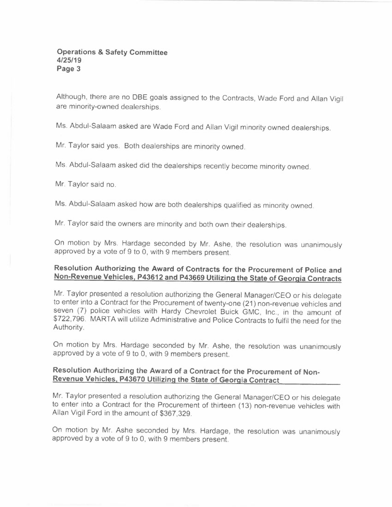Although, there are no DBE goals assigned to the Contracts, Wade Ford and Allan Vigil are minority-owned dealerships.

Ms. Abdul-Salaam asked are Wade Ford and Allan Vigil minority owned dealerships.

Mr. Taylor said yes. Both dealerships are minority owned.

Ms. Abdul-Salaam asked did the dealerships recently become minority owned.

Mr. Taylor said no.

Ms. Abdul-Salaam asked how are both dealerships qualified as minority owned.

Mr. Taylor said the owners are minority and both own their dealerships.

On motion by Mrs. Hardage seconded by Mr. Ashe, the resolution was unanimously approved by a vote of 9 to 0, with 9 members present.

# **Resolution Authorizing the Award of Contracts for the Procurement of Police and Non-Revenue Vehicles, P43612 and P43669 Utilizing the State of Georgia Contracts**

Mr. Taylor presented a resolution authorizing the General Manager/CEO or his delegate to enter into a Contract for the Procurement of twenty-one (21) non-revenue vehicles and seven (7) police vehicles with Hardy Chevrolet Buick GMC, Inc., in the amount of \$722,796. MARTA will utilize Administrative and Police Contracts to fulfil the need for the Authority.

On motion by Mrs. Hardage seconded by Mr. Ashe, the resolution was unanimously approved by a vote of 9 to 0, with 9 members present.

# **Resolution Authorizing the Award of a Contract for the Procurement of Non-Revenue Vehicles, P43670 Utilizing the State of Georgia Contract**

Mr. Taylor presented a resolution authorizing the General Manager/CEO or his delegate to enter into a Contract for the Procurement of thirteen (13) non-revenue vehicles with Allan Vigil Ford in the amount of \$367,329.

On motion by Mr. Ashe seconded by Mrs. Hardage, the resolution was unanimously approved by a vote of 9 to 0, with 9 members present.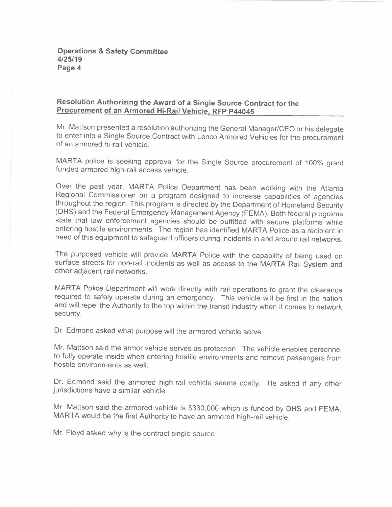# **Resolution Authorizing the Award of a Single Source Contract for the Procurement of an Armored Hi-Rail Vehicle. RFP P44045**

Mr. Mattson presented a resolution authorizing the General Manager/CEO or his delegate to enter into a Single Source Contract with Lenco Armored Vehicles for the procurement of an armored hi-rail vehicle.

MARTA police is seeking approval for the Single Source procurement of 100% grant funded armored high-rail access vehicle.

Over the past year. MARTA Police Department has been working with the Atlanta Regional Commissioner on a program designed to increase capabilities of agencies throughout the region. This program is directed by the Department of Homeland Security (OHS) and the Federal Emergency Management Agency (FEMA). Both federal programs state that law enforcement agencies should be outfitted with secure platforms while entering hostile environments. The region has identified MARTA Police as a recipient in need of this equipment to safeguard officers during incidents in and around rail networks.

The purposed vehicle will provide MARTA Police with the capability of being used on surface streets for non-rail incidents as well as access to the MARTA Rail System and other adjacent rail networks.

MARTA Police Department will work directly with rail operations to grant the clearance required to safely operate during an emergency. This vehicle will be first in the nation and will repel the Authority to the top within the transit industry when it comes to network security.

Dr. Edmond asked what purpose will the armored vehicle serve.

Mr. Mattson said the armor vehicle serves as protection. The vehicle enables personnel to fully operate inside when entering hostile environments and remove passengers from hostile environments as well.

Dr. Edmond said the armored high-rail vehicle seems costly. He asked if any other jurisdictions have a similar vehicle.

Mr. Mattson said the armored vehicle is \$330,000 which is funded by OHS and FEMA. MARTA would be the first Authority to have an armored high-rail vehicle.

Mr. Floyd asked why is the contract single source.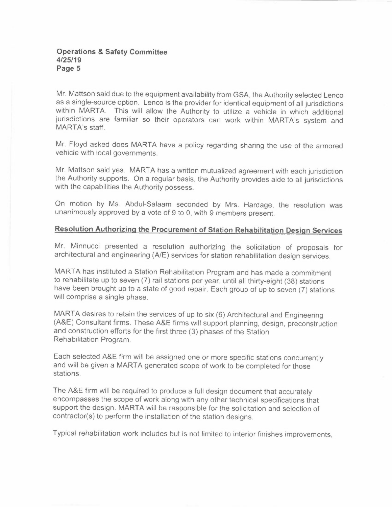Mr. Mattson said due to the equipment availability from GSA, the Authority selected Lenco as a single-source option. Lenco is the provider for identical equipment of all jurisdictions within MARTA. This will allow the Authority to utilize a vehicle in which additional jurisdictions are familiar so their operators can work within MARTA's system and MARTA's staff.

Mr. Floyd asked does MARTA have a policy regarding sharing the use of the armored vehicle with local governments.

Mr. Mattson said yes. MARTA has a written mutualized agreement with each jurisdiction the Authority supports. On a regular basis, the Authority provides aide to all jurisdictions with the capabilities the Authority possess.

On motion by Ms. Abdul-Salaam seconded by Mrs. Hardage, the resolution was unanimously approved by a vote of 9 to 0, with 9 members present.

# **Resolution Authorizing the Procurement of Station Rehabilitation Design Services**

Mr. Minnucci presented a resolution authorizing the solicitation of proposals for architectural and engineering (A/E) services for station rehabilitation design services.

MARTA has instituted a Station Rehabilitation Program and has made a commitment to rehabilitate up to seven (7) rail stations per year, until all thirty-eight (38) stations have been brought up to a state of good repair. Each group of up to seven (7) stations will comprise a single phase.

MARTA desires to retain the services of up to six (6) Architectural and Engineering (A&E) Consultant firms. These A&E firms will support planning, design, preconstruction and construction efforts for the first three (3) phases of the Station Rehabilitation Program.

Each selected A&E firm will be assigned one or more specific stations concurrently and will be given a MARTA generated scope of work to be completed for those stations.

The A&E firm will be required to produce a full design document that accurately encompasses the scope of work along with any other technical specifications that support the design. **MARTA** will be responsible for the solicitation and selection of contractor(s) to perform the installation of the station designs.

Typical rehabilitation work includes but is not limited to interior finishes improvements,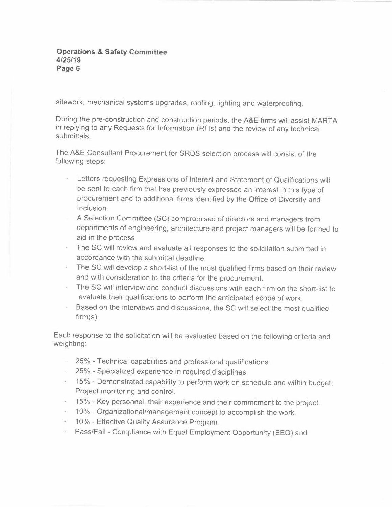sitework, mechanical systems upgrades, roofing, lighting and waterproofing.

During the pre-construction and construction periods, the A&E firms will assist MARTA in replying to any Requests for Information (RFls) and the review of any technical submittals.

The A&E Consultant Procurement for SRDS selection process will consist of the following steps:

- Letters requesting Expressions of Interest and Statement of Qualifications will be sent to each firm that has previously expressed an interest in this type of procurement and to additional firms identified by the Office of Diversity and Inclusion.
- A Selection Committee (SC) compromised of directors and managers from departments of engineering, architecture and project managers will be formed to aid in the process.
- The SC will review and evaluate all responses to the solicitation submitted in accordance with the submittal deadline.
- The SC will develop a short-list of the most qualified firms based on their review and with consideration to the criteria for the procurement.
- The SC will interview and conduct discussions with each firm on the short-list to evaluate their qualifications to perform the anticipated scope of work.
- Based on the interviews and discussions, the SC will select the most qualified firm(s).

Each response to the solicitation will be evaluated based on the following criteria and weighting:

- 25% Technical capabilities and professional qualifications.
- 25% Specialized experience in required disciplines.
- 15% Demonstrated capability to perform work on schedule and within budget; Project monitoring and control.
- 15% Key personnel; their experience and their commitment to the project.
- 10% Organizational/management concept to accomplish the work.
- 10% Effective Quality Assurance Program
- Pass/Fail Compliance with Equal Employment Opportunity (EEO) and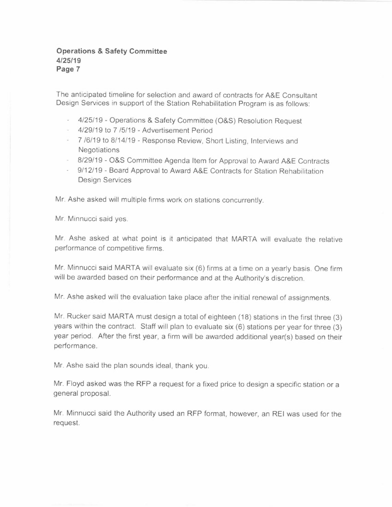The anticipated timeline for selection and award of contracts for A&E Consultant Design Services in support of the Station Rehabilitation Program is as follows:

- 4/25/19 Operations & Safety Committee (O&S) Resolution Request
- 4/29/19 to 7 /5/19 Advertisement Period
- 7 /6/19 to 8/14/19 Response Review, Short Listing, Interviews and **Negotiations**
- 8/29/19 O&S Committee Agenda Item for Approval to Award A&E Contracts
- 9/12/19 Board Approval to Award A&E Contracts for Station Rehabilitation Design Services

Mr. Ashe asked will multiple firms work on stations concurrently.

Mr. Minnucci said yes.

Mr. Ashe asked at what point is it anticipated that MARTA will evaluate the relative performance of competitive firms.

Mr. Minnucci said MARTA will evaluate six (6) firms at a time on a yearly basis. One firm will be awarded based on their performance and at the Authority's discretion.

Mr. Ashe asked will the evaluation take place after the initial renewal of assignments.

Mr. Rucker said MARTA must design a total of eighteen (18) stations in the first three (3) years within the contract. Staff will plan to evaluate six (6) stations per year for three (3) year period. After the first year, a firm will be awarded additional year(s) based on their performance.

Mr. Ashe said the plan sounds ideal, thank you.

Mr. Floyd asked was the RFP a request for a fixed price to design a specific station or a general proposal.

Mr. Minnucci said the Authority used an RFP format, however, an REI was used for the request.